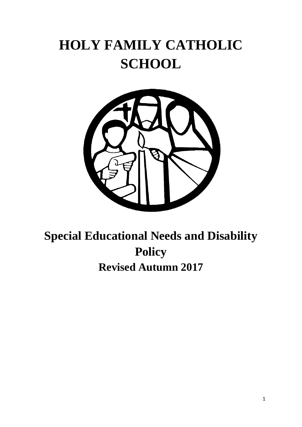# **HOLY FAMILY CATHOLIC SCHOOL**



## **Special Educational Needs and Disability Policy Revised Autumn 2017**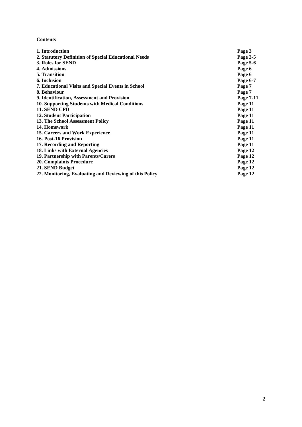## **Contents**

| 1. Introduction                                         | Page 3    |
|---------------------------------------------------------|-----------|
| 2. Statutory Definition of Special Educational Needs    | Page 3-5  |
| 3. Roles for SEND                                       | Page 5-6  |
| 4. Admissions                                           | Page 6    |
| <b>5. Transition</b>                                    | Page 6    |
| 6. Inclusion                                            | Page 6-7  |
| 7. Educational Visits and Special Events in School      | Page 7    |
| 8. Behaviour                                            | Page 7    |
| 9. Identification, Assessment and Provision             | Page 7-11 |
| 10. Supporting Students with Medical Conditions         | Page 11   |
| 11. SEND CPD                                            | Page 11   |
| <b>12. Student Participation</b>                        | Page 11   |
| 13. The School Assessment Policy                        | Page 11   |
| 14. Homework                                            | Page 11   |
| 15. Careers and Work Experience                         | Page 11   |
| 16. Post-16 Provision                                   | Page 11   |
| 17. Recording and Reporting                             | Page 11   |
| 18. Links with External Agencies                        | Page 12   |
| 19. Partnership with Parents/Carers                     | Page 12   |
| <b>20. Complaints Procedure</b>                         | Page 12   |
| 21. SEND Budget                                         | Page 12   |
| 22. Monitoring, Evaluating and Reviewing of this Policy | Page 12   |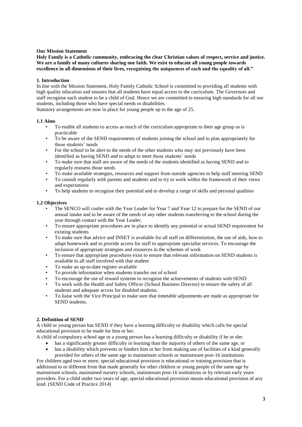## **Our Mission Statement**

**Holy Family is a Catholic community, embracing the clear Christian values of respect, service and justice. We are a family of many cultures sharing one faith. We exist to educate all young people towards excellence in all dimensions of their lives, recognising the uniqueness of each and the equality of all."**

## **1. Introduction**

In line with the Mission Statement, Holy Family Catholic School is committed to providing all students with high quality education and ensures that all students have equal access to the curriculum. The Governors and staff recognise each student to be a child of God. Hence we are committed to ensuring high standards for all our students, including those who have special needs or disabilities.

Statutory arrangements are now in place for young people up to the age of 25.

#### **1.1 Aims**

- To enable all students to access as much of the curriculum appropriate to their age group as is practicable
- To be aware of the SEND requirements of students joining the school and to plan appropriately for those students' needs
- For the school to be alert to the needs of the other students who may not previously have been identified as having SEND and to adapt to meet those students' needs
- To make sure that staff are aware of the needs of the students identified as having SEND and to regularly reassess those needs
- To make available strategies, resources and support from outside agencies to help staff meeting SEND
- To consult regularly with parents and students and to try to work within the framework of their views and expectations
- To help students to recognise their potential and to develop a range of skills and personal qualities

#### **1.2 Objectives**

- The SENCO will confer with the Year Leader for Year 7 and Year 12 to prepare for the SEND of our annual intake and to be aware of the needs of any other students transferring to the school during the year through contact with the Year Leader.
- To ensure appropriate procedures are in place to identify any potential or actual SEND requirement for existing students
- To make sure that advice and INSET is available for all staff on differentiation, the use of aids, how to adapt homework and to provide access for staff to appropriate specialist services. To encourage the inclusion of appropriate strategies and resources in the schemes of work
- To ensure that appropriate procedures exist to ensure that relevant information on SEND students is available to all staff involved with that student
- To make an up-to-date register available
- To provide information when students transfer out of school
- To encourage the use of reward systems to recognise the achievements of students with SEND
- To work with the Health and Safety Officer (School Business Director) to ensure the safety of all students and adequate access for disabled students.
- To liaise with the Vice Principal to make sure that timetable adjustments are made as appropriate for SEND students.

#### **2. Definition of SEND**

A child or young person has SEND if they have a learning difficulty or disability which calls for special educational provision to be made for him or her.

A child of compulsory school age or a young person has a learning difficulty or disability if he or she:

- has a significantly greater difficulty in learning than the majority of others of the same age, or
- has a disability which prevents or hinders him or her from making use of facilities of a kind generally provided for others of the same age in mainstream schools or mainstream post-16 institutions

For children aged two or more, special educational provision is educational or training provision that is additional to or different from that made generally for other children or young people of the same age by mainstream schools, maintained nursery schools, mainstream post-16 institutions or by relevant early years providers. For a child under two years of age, special educational provision means educational provision of any kind. (SEND Code of Practice 2014)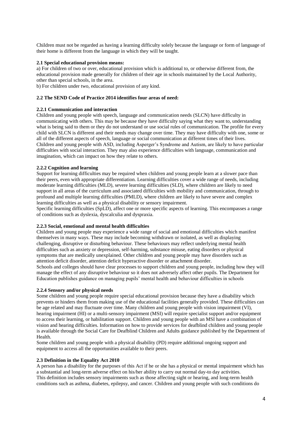Children must not be regarded as having a learning difficulty solely because the language or form of language of their home is different from the language in which they will be taught.

## **2.1 Special educational provision means:**

a) For children of two or over, educational provision which is additional to, or otherwise different from, the educational provision made generally for children of their age in schools maintained by the Local Authority, other than special schools, in the area.

b) For children under two, educational provision of any kind.

## **2.2 The SEND Code of Practice 2014 identifies four areas of need:**

## **2.2.1 Communication and interaction**

Children and young people with speech, language and communication needs (SLCN) have difficulty in communicating with others. This may be because they have difficulty saying what they want to, understanding what is being said to them or they do not understand or use social rules of communication. The profile for every child with SLCN is different and their needs may change over time. They may have difficulty with one, some or all of the different aspects of speech, language or social communication at different times of their lives. Children and young people with ASD, including Asperger's Syndrome and Autism, are likely to have particular difficulties with social interaction. They may also experience difficulties with language, communication and imagination, which can impact on how they relate to others.

## **2.2.2 Cognition and learning**

Support for learning difficulties may be required when children and young people learn at a slower pace than their peers, even with appropriate differentiation. Learning difficulties cover a wide range of needs, including moderate learning difficulties (MLD), severe learning difficulties (SLD), where children are likely to need support in all areas of the curriculum and associated difficulties with mobility and communication, through to profound and multiple learning difficulties (PMLD), where children are likely to have severe and complex learning difficulties as well as a physical disability or sensory impairment.

Specific learning difficulties (SpLD), affect one or more specific aspects of learning. This encompasses a range of conditions such as dyslexia, dyscalculia and dyspraxia.

## **2.2.3 Social, emotional and mental health difficulties**

Children and young people may experience a wide range of social and emotional difficulties which manifest themselves in many ways. These may include becoming withdrawn or isolated, as well as displaying challenging, disruptive or disturbing behaviour. These behaviours may reflect underlying mental health difficulties such as anxiety or depression, self-harming, substance misuse, eating disorders or physical symptoms that are medically unexplained. Other children and young people may have disorders such as attention deficit disorder, attention deficit hyperactive disorder or attachment disorder.

Schools and colleges should have clear processes to support children and young people, including how they will manage the effect of any disruptive behaviour so it does not adversely affect other pupils. The Department for Education publishes guidance on managing pupils' mental health and behaviour difficulties in schools

## **2.2.4 Sensory and/or physical needs**

Some children and young people require special educational provision because they have a disability which prevents or hinders them from making use of the educational facilities generally provided. These difficulties can be age related and may fluctuate over time. Many children and young people with vision impairment (VI), hearing impairment (HI) or a multi-sensory impairment (MSI) will require specialist support and/or equipment to access their learning, or habilitation support. Children and young people with an MSI have a combination of vision and hearing difficulties. Information on how to provide services for deafblind children and young people is available through the Social Care for Deafblind Children and Adults guidance published by the Department of Health.

Some children and young people with a physical disability (PD) require additional ongoing support and equipment to access all the opportunities available to their peers.

## **2.3 Definition in the Equality Act 2010**

A person has a disability for the purposes of this Act if he or she has a physical or mental impairment which has a substantial and long-term adverse effect on his/her ability to carry out normal day-to day activities. This definition includes sensory impairments such as those affecting sight or hearing, and long-term health conditions such as asthma, diabetes, epilepsy, and cancer. Children and young people with such conditions do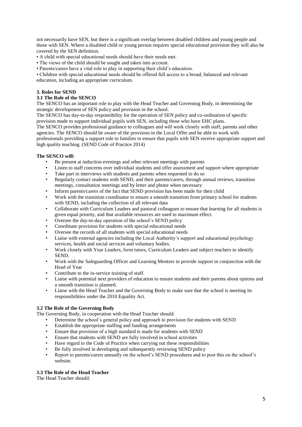not necessarily have SEN, but there is a significant overlap between disabled children and young people and those with SEN. Where a disabled child or young person requires special educational provision they will also be covered by the SEN definition.

- A child with special educational needs should have their needs met.
- The views of the child should be sought and taken into account.
- Parents/carers have a vital role to play in supporting their child's education.

• Children with special educational needs should be offered full access to a broad, balanced and relevant education, including an appropriate curriculum.

## **3. Roles for SEND**

## **3.1 The Role of the SENCO**

The SENCO has an important role to play with the Head Teacher and Governing Body, in determining the strategic development of SEN policy and provision in the school.

The SENCO has day-to-day responsibility for the operation of SEN policy and co-ordination of specific provision made to support individual pupils with SEN, including those who have EHC plans.

The SENCO provides professional guidance to colleagues and will work closely with staff, parents and other agencies. The SENCO should be aware of the provision in the Local Offer and be able to work with

professionals providing a support role to families to ensure that pupils with SEN receive appropriate support and high quality teaching. (SEND Code of Practice 2014)

## **The SENCO will:**

- Be present at induction evenings and other relevant meetings with parents
- Listen to staff concerns over individual students and offer assessment and support where appropriate
- Take part in interviews with students and parents when requested to do so
- Regularly contact students with SEND, and their parents/carers, through annual reviews, transition meetings, consultation meetings and by letter and phone when necessary
- Inform parents/carers of the fact that SEND provision has been made for their child
- Work with the transition coordinator to ensure a smooth transition from primary school for students with SEND, including the collection of all relevant data
- Collaborate with Curriculum Leaders and pastoral colleagues to ensure that learning for all students is given equal priority, and that available resources are used to maximum effect.
- Oversee the day-to-day operation of the school's SEND policy
- Coordinate provision for students with special educational needs
- Oversee the records of all students with special educational needs
- Liaise with external agencies including the Local Authority's support and educational psychology services, health and social services and voluntary bodies.
- Work closely with Year Leaders, form tutors, Curriculum Leaders and subject teachers to identify **SEND**
- Work with the Safeguarding Officer and Learning Mentors to provide support in conjunction with the Head of Year
- Contribute to the in-service training of staff.
- Liaise with potential next providers of education to ensure students and their parents about options and a smooth transition is planned.
- Liaise with the Head Teacher and the Governing Body to make sure that the school is meeting its responsibilities under the 2010 Equality Act.

## **3.2 The Role of the Governing Body**

The Governing Body, in cooperation with the Head Teacher should:

- Determine the school's general policy and approach to provision for students with SEND
- Establish the appropriate staffing and funding arrangements
- Ensure that provision of a high standard is made for students with SEND
- Ensure that students with SEND are fully involved in school activities
- Have regard to the Code of Practice when carrying out these responsibilities
- Be fully involved in developing and subsequently reviewing SEND policy
- Report to parents/carers annually on the school's SEND procedures and to post this on the school's website.

## **3.3 The Role of the Head Teacher**

The Head Teacher should: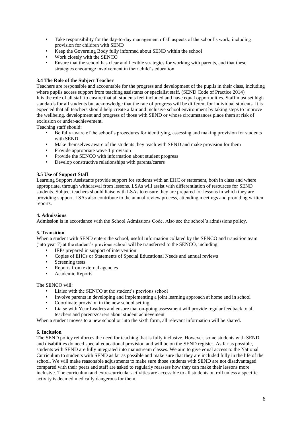- Take responsibility for the day-to-day management of all aspects of the school's work, including provision for children with SEND
- Keep the Governing Body fully informed about SEND within the school
- Work closely with the SENCO
- Ensure that the school has clear and flexible strategies for working with parents, and that these strategies encourage involvement in their child's education

## **3.4 The Role of the Subject Teacher**

Teachers are responsible and accountable for the progress and development of the pupils in their class, including where pupils access support from teaching assistants or specialist staff. (SEND Code of Practice 2014) It is the role of all staff to ensure that all students feel included and have equal opportunities. Staff must set high standards for all students but acknowledge that the rate of progress will be different for individual students. It is expected that all teachers should help create a fair and inclusive school environment by taking steps to improve the wellbeing, development and progress of those with SEND or whose circumstances place them at risk of exclusion or under-achievement.

Teaching staff should:

- Be fully aware of the school's procedures for identifying, assessing and making provision for students with SEND
- Make themselves aware of the students they teach with SEND and make provision for them
- Provide appropriate wave 1 provision
- Provide the SENCO with information about student progress
- Develop constructive relationships with parents/carers

## **3.5 Use of Support Staff**

Learning Support Assistants provide support for students with an EHC or statement, both in class and where appropriate, through withdrawal from lessons. LSAs will assist with differentiation of resources for SEND students. Subject teachers should liaise with LSAs to ensure they are prepared for lessons in which they are providing support. LSAs also contribute to the annual review process, attending meetings and providing written reports.

## **4. Admissions**

Admission is in accordance with the School Admissions Code. Also see the school's admissions policy.

## **5. Transition**

When a student with SEND enters the school, useful information collated by the SENCO and transition team (into year 7) at the student's previous school will be transferred to the SENCO, including:

- IEPs prepared in support of intervention
- Copies of EHCs or Statements of Special Educational Needs and annual reviews
- Screening tests
- Reports from external agencies
- Academic Reports

## The SENCO will:

- Liaise with the SENCO at the student's previous school
- Involve parents in developing and implementing a joint learning approach at home and in school
- Coordinate provision in the new school setting
- Liaise with Year Leaders and ensure that on-going assessment will provide regular feedback to all teachers and parents/carers about student achievement

When a student moves to a new school or into the sixth form, all relevant information will be shared.

## **6. Inclusion**

The SEND policy reinforces the need for teaching that is fully inclusive. However, some students with SEND and disabilities do need special educational provision and will be on the SEND register. As far as possible, students with SEND are fully integrated into mainstream classes. We aim to give equal access to the National Curriculum to students with SEND as far as possible and make sure that they are included fully in the life of the school. We will make reasonable adjustments to make sure those students with SEND are not disadvantaged compared with their peers and staff are asked to regularly reassess how they can make their lessons more inclusive. The curriculum and extra-curricular activities are accessible to all students on roll unless a specific activity is deemed medically dangerous for them.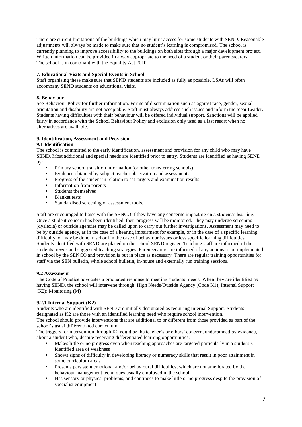There are current limitations of the buildings which may limit access for some students with SEND. Reasonable adjustments will always be made to make sure that no student's learning is compromised. The school is currently planning to improve accessibility to the buildings on both sites through a major development project. Written information can be provided in a way appropriate to the need of a student or their parents/carers. The school is in compliant with the Equality Act 2010.

## **7. Educational Visits and Special Events in School**

Staff organising these make sure that SEND students are included as fully as possible. LSAs will often accompany SEND students on educational visits.

## **8. Behaviour**

See Behaviour Policy for further information. Forms of discrimination such as against race, gender, sexual orientation and disability are not acceptable. Staff must always address such issues and inform the Year Leader. Students having difficulties with their behaviour will be offered individual support. Sanctions will be applied fairly in accordance with the School Behaviour Policy and exclusion only used as a last resort when no alternatives are available.

## **9. Identification, Assessment and Provision**

## **9.1 Identification**

The school is committed to the early identification, assessment and provision for any child who may have SEND. Most additional and special needs are identified prior to entry. Students are identified as having SEND by:

- Primary school transition information (or other transferring schools)
- Evidence obtained by subject teacher observation and assessments
- Progress of the student in relation to set targets and examination results
- Information from parents
- Students themselves
- Blanket tests
- Standardised screening or assessment tools.

Staff are encouraged to liaise with the SENCO if they have any concerns impacting on a student's learning. Once a student concern has been identified, their progress will be monitored. They may undergo screening (dyslexia) or outside agencies may be called upon to carry out further investigations. Assessment may need to be by outside agency, as in the case of a hearing impairment for example, or in the case of a specific learning difficulty, or may be done in school in the case of behaviour issues or less specific learning difficulties. Students identified with SEND are placed on the school SEND register. Teaching staff are informed of the students' needs and suggested teaching strategies. Parents/carers are informed of any actions to be implemented in school by the SENCO and provision is put in place as necessary. There are regular training opportunities for staff via the SEN bulletin, whole school bulletin, in-house and externally run training sessions.

## **9.2 Assessment**

The Code of Practice advocates a graduated response to meeting students' needs. When they are identified as having SEND, the school will intervene through: High Needs/Outside Agency (Code K1); Internal Support (K2); Monitoring (M)

## **9.2.1 Internal Support (K2)**

Students who are identified with SEND are initially designated as requiring Internal Support. Students designated as K2 are those with an identified learning need who require school intervention.

The school should provide interventions that are additional to or different from those provided as part of the school's usual differentiated curriculum.

The triggers for intervention through K2 could be the teacher's or others' concern, underpinned by evidence, about a student who, despite receiving differentiated learning opportunities:

- Makes little or no progress even when teaching approaches are targeted particularly in a student's identified area of weakness
- Shows signs of difficulty in developing literacy or numeracy skills that result in poor attainment in some curriculum areas
- Presents persistent emotional and/or behavioural difficulties, which are not ameliorated by the behaviour management techniques usually employed in the school
- Has sensory or physical problems, and continues to make little or no progress despite the provision of specialist equipment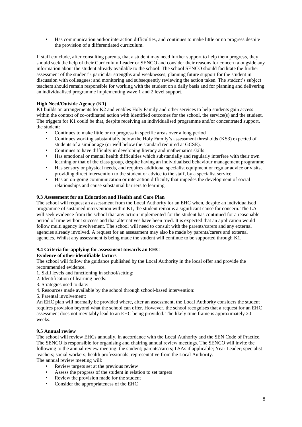• Has communication and/or interaction difficulties, and continues to make little or no progress despite the provision of a differentiated curriculum.

If staff conclude, after consulting parents, that a student may need further support to help them progress, they should seek the help of their Curriculum Leader or SENCO and consider their reasons for concern alongside any information about the student already available to the school. The school SENCO should facilitate the further assessment of the student's particular strengths and weaknesses; planning future support for the student in discussion with colleagues; and monitoring and subsequently reviewing the action taken. The student's subject teachers should remain responsible for working with the student on a daily basis and for planning and delivering an individualised programme implementing wave 1 and 2 level support.

## **High Need/Outside Agency (K1)**

K1 builds on arrangements for K2 and enables Holy Family and other services to help students gain access within the context of co-ordinated action with identified outcomes for the school, the service(s) and the student. The triggers for K1 could be that, despite receiving an individualised programme and/or concentrated support, the student:

- Continues to make little or no progress in specific areas over a long period
- Continues working substantially below the Holy Family's assessment thresholds (KS3) expected of students of a similar age (or well below the standard required at GCSE).
- Continues to have difficulty in developing literacy and mathematics skills
- Has emotional or mental health difficulties which substantially and regularly interfere with their own learning or that of the class group, despite having an individualised behaviour management programme
- Has sensory or physical needs, and requires additional specialist equipment or regular advice or visits, providing direct intervention to the student or advice to the staff, by a specialist service
- Has an on-going communication or interaction difficulty that impedes the development of social relationships and cause substantial barriers to learning.

## **9.3 Assessment for an Education and Health and Care Plan**

The school will request an assessment from the Local Authority for an EHC when, despite an individualised programme of sustained intervention within K1, the student remains a significant cause for concern. The LA will seek evidence from the school that any action implemented for the student has continued for a reasonable period of time without success and that alternatives have been tried. It is expected that an application would follow multi agency involvement. The school will need to consult with the parents/carers and any external agencies already involved. A request for an assessment may also be made by parents/carers and external agencies. Whilst any assessment is being made the student will continue to be supported through K1.

## **9.4 Criteria for applying for assessment towards an EHC**

## **Evidence of other identifiable factors**

The school will follow the guidance published by the Local Authority in the local offer and provide the recommended evidence.

- 1. Skill levels and functioning in school/setting:
- 2. Identification of learning needs:
- 3. Strategies used to date:
- 4. Resources made available by the school through school-based intervention:
- 5. Parental involvement:

An EHC plan will normally be provided where, after an assessment, the Local Authority considers the student requires provision beyond what the school can offer. However, the school recognises that a request for an EHC assessment does not inevitably lead to an EHC being provided. The likely time frame is approximately 20 weeks.

## **9.5 Annual review**

The school will review EHCs annually, in accordance with the Local Authority and the SEN Code of Practice. The SENCO is responsible for organising and chairing annual review meetings. The SENCO will invite the following to the annual review meeting: the student; parents/carers; LSAs if applicable; Year Leader; specialist teachers; social workers; health professionals; representative from the Local Authority. The annual review meeting will:

• Review targets set at the previous review

- Assess the progress of the student in relation to set targets
- Review the provision made for the student
- Consider the appropriateness of the EHC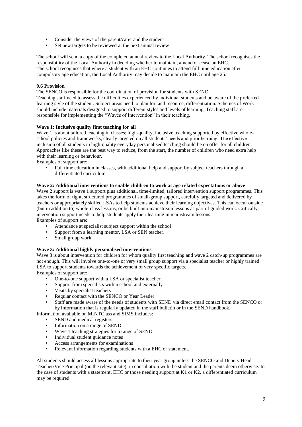- Consider the views of the parent/carer and the student
- Set new targets to be reviewed at the next annual review

The school will send a copy of the completed annual review to the Local Authority. The school recognises the responsibility of the Local Authority in deciding whether to maintain, amend or cease an EHC. The school recognises that where a student with an EHC continues to attend full time education after compulsory age education, the Local Authority may decide to maintain the EHC until age 25.

## **9.6 Provision**

The SENCO is responsible for the coordination of provision for students with SEND.

Teaching staff need to assess the difficulties experienced by individual students and be aware of the preferred learning style of the student. Subject areas need to plan for, and resource, differentiation. Schemes of Work should include materials designed to support different styles and levels of learning. Teaching staff are responsible for implementing the "Waves of Intervention" in their teaching.

## **Wave 1: Inclusive quality first teaching for all**

Wave 1 is about tailored teaching in classes; high-quality, inclusive teaching supported by effective wholeschool policies and frameworks, clearly targeted on all students' needs and prior learning. The effective inclusion of all students in high-quality everyday personalised teaching should be on offer for all children. Approaches like these are the best way to reduce, from the start, the number of children who need extra help with their learning or behaviour.

Examples of support are:

• Full time education in classes, with additional help and support by subject teachers through a differentiated curriculum

## **Wave 2: Additional interventions to enable children to work at age related expectations or above**

Wave 2 support is wave 1 support plus additional, time-limited, tailored intervention support programmes. This takes the form of tight, structured programmes of small-group support, carefully targeted and delivered by teachers or appropriately skilled LSAs to help students achieve their learning objectives. This can occur outside (but in addition to) whole-class lessons, or be built into mainstream lessons as part of guided work. Critically, intervention support needs to help students apply their learning in mainstream lessons. Examples of support are:

- Attendance at specialist subject support within the school
- Support from a learning mentor, LSA or SEN teacher.
- Small group work

## **Wave 3: Additional highly personalised interventions**

Wave 3 is about intervention for children for whom quality first teaching and wave 2 catch-up programmes are not enough. This will involve one-to-one or very small group support via a specialist teacher or highly trained LSA to support students towards the achievement of very specific targets.

Examples of support are:

- One-to-one support with a LSA or specialist teacher
- Support from specialists within school and externally
- Visits by specialist teachers
- Regular contact with the SENCO or Year Leader
- Staff are made aware of the needs of students with SEND via direct email contact from the SENCO or by information that is regularly updated in the staff bulletin or in the SEND handbook.

Information available on MINTClass and SIMS includes:

- SEND and medical registers
- Information on a range of SEND
- Wave 1 teaching strategies for a range of SEND
- Individual student guidance notes
- Access arrangements for examinations
- Relevant information regarding students with a EHC or statement.

All students should access all lessons appropriate to their year group unless the SENCO and Deputy Head Teacher/Vice Principal (on the relevant site), in consultation with the student and the parents deem otherwise. In the case of students with a statement, EHC or those needing support at K1 or K2, a differentiated curriculum may be required.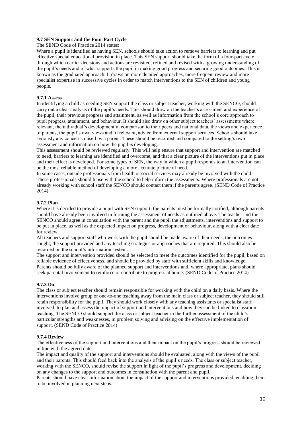## **9.7 SEN Support and the Four Part Cycle**

The SEND Code of Practice 2014 states:

Where a pupil is identified as having SEN, schools should take action to remove barriers to learning and put effective special educational provision in place. This SEN support should take the form of a four-part cycle through which earlier decisions and actions are revisited, refined and revised with a growing understanding of the pupil's needs and of what supports the pupil in making good progress and securing good outcomes. This is known as the graduated approach. It draws on more detailed approaches, more frequent review and more specialist expertise in successive cycles in order to match interventions to the SEN of children and young people.

## **9.7.1 Assess**

In identifying a child as needing SEN support the class or subject teacher, working with the SENCO, should carry out a clear analysis of the pupil's needs. This should draw on the teacher's assessment and experience of the pupil, their previous progress and attainment, as well as information from the school's core approach to pupil progress, attainment, and behaviour. It should also draw on other subject teachers' assessments where relevant, the individual's development in comparison to their peers and national data, the views and experience of parents, the pupil's own views and, if relevant, advice from external support services. Schools should take seriously any concerns raised by a parent. These should be recorded and compared to the setting's own assessment and information on how the pupil is developing.

This assessment should be reviewed regularly. This will help ensure that support and intervention are matched to need, barriers to learning are identified and overcome, and that a clear picture of the interventions put in place and their effect is developed. For some types of SEN, the way in which a pupil responds to an intervention can be the most reliable method of developing a more accurate picture of need.

In some cases, outside professionals from health or social services may already be involved with the child. These professionals should liaise with the school to help inform the assessments. Where professionals are not already working with school staff the SENCO should contact them if the parents agree. (SEND Code of Practice 2014)

#### **9.7.2 Plan**

Where it is decided to provide a pupil with SEN support, the parents must be formally notified, although parents should have already been involved in forming the assessment of needs as outlined above. The teacher and the SENCO should agree in consultation with the parent and the pupil the adjustments, interventions and support to be put in place, as well as the expected impact on progress, development or behaviour, along with a clear date for review.

All teachers and support staff who work with the pupil should be made aware of their needs, the outcomes sought, the support provided and any teaching strategies or approaches that are required. This should also be recorded on the school's information system.

The support and intervention provided should be selected to meet the outcomes identified for the pupil, based on reliable evidence of effectiveness, and should be provided by staff with sufficient skills and knowledge. Parents should be fully aware of the planned support and interventions and, where appropriate, plans should seek parental involvement to reinforce or contribute to progress at home. (SEND Code of Practice 2014)

#### **9.7.3 Do**

The class or subject teacher should remain responsible for working with the child on a daily basis. Where the interventions involve group or one-to-one teaching away from the main class or subject teacher, they should still retain responsibility for the pupil. They should work closely with any teaching assistants or specialist staff involved, to plan and assess the impact of support and interventions and how they can be linked to classroom teaching. The SENCO should support the class or subject teacher in the further assessment of the child's particular strengths and weaknesses, in problem solving and advising on the effective implementation of support. (SEND Code of Practice 2014)

#### **9.7.4 Review**

The effectiveness of the support and interventions and their impact on the pupil's progress should be reviewed in line with the agreed date.

The impact and quality of the support and interventions should be evaluated, along with the views of the pupil and their parents. This should feed back into the analysis of the pupil's needs. The class or subject teacher, working with the SENCO, should revise the support in light of the pupil's progress and development, deciding on any changes to the support and outcomes in consultation with the parent and pupil.

Parents should have clear information about the impact of the support and interventions provided, enabling them to be involved in planning next steps.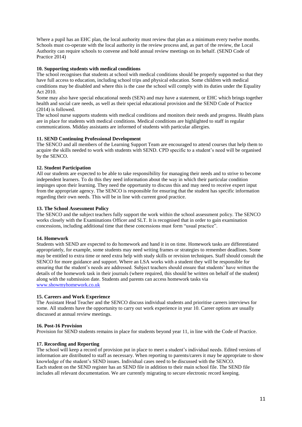Where a pupil has an EHC plan, the local authority must review that plan as a minimum every twelve months. Schools must co-operate with the local authority in the review process and, as part of the review, the Local Authority can require schools to convene and hold annual review meetings on its behalf. (SEND Code of Practice 2014)

## **10. Supporting students with medical conditions**

The school recognises that students at school with medical conditions should be properly supported so that they have full access to education, including school trips and physical education. Some children with medical conditions may be disabled and where this is the case the school will comply with its duties under the Equality Act 2010.

Some may also have special educational needs (SEN) and may have a statement, or EHC which brings together health and social care needs, as well as their special educational provision and the SEND Code of Practice (2014) is followed.

The school nurse supports students with medical conditions and monitors their needs and progress. Health plans are in place for students with medical conditions. Medical conditions are highlighted to staff in regular communications. Midday assistants are informed of students with particular allergies.

#### **11. SEND Continuing Professional Development**

The SENCO and all members of the Learning Support Team are encouraged to attend courses that help them to acquire the skills needed to work with students with SEND. CPD specific to a student's need will be organised by the SENCO.

#### **12. Student Participation**

All our students are expected to be able to take responsibility for managing their needs and to strive to become independent learners. To do this they need information about the way in which their particular condition impinges upon their learning. They need the opportunity to discuss this and may need to receive expert input from the appropriate agency. The SENCO is responsible for ensuring that the student has specific information regarding their own needs. This will be in line with current good practice.

#### **13. The School Assessment Policy**

The SENCO and the subject teachers fully support the work within the school assessment policy. The SENCO works closely with the Examinations Officer and SLT. It is recognised that in order to gain examination concessions, including additional time that these concessions must form "usual practice".

#### **14. Homework**

Students with SEND are expected to do homework and hand it in on time. Homework tasks are differentiated appropriately, for example, some students may need writing frames or strategies to remember deadlines. Some may be entitled to extra time or need extra help with study skills or revision techniques. Staff should consult the SENCO for more guidance and support. Where an LSA works with a student they will be responsible for ensuring that the student's needs are addressed. Subject teachers should ensure that students' have written the details of the homework task in their journals (where required, this should be written on behalf of the student) along with the submission date. Students and parents can access homework tasks via [www.showmyhomework.co.uk](http://www.showmyhomework.co.uk/)

#### **15. Careers and Work Experience**

The Assistant Head Teacher and the SENCO discuss individual students and prioritise careers interviews for some. All students have the opportunity to carry out work experience in year 10. Career options are usually discussed at annual review meetings.

#### **16. Post-16 Provision**

Provision for SEND students remains in place for students beyond year 11, in line with the Code of Practice.

#### **17. Recording and Reporting**

The school will keep a record of provision put in place to meet a student's individual needs. Edited versions of information are distributed to staff as necessary. When reporting to parents/carers it may be appropriate to show knowledge of the student's SEND issues. Individual cases need to be discussed with the SENCO. Each student on the SEND register has an SEND file in addition to their main school file. The SEND file includes all relevant documentation. We are currently migrating to secure electronic record keeping.